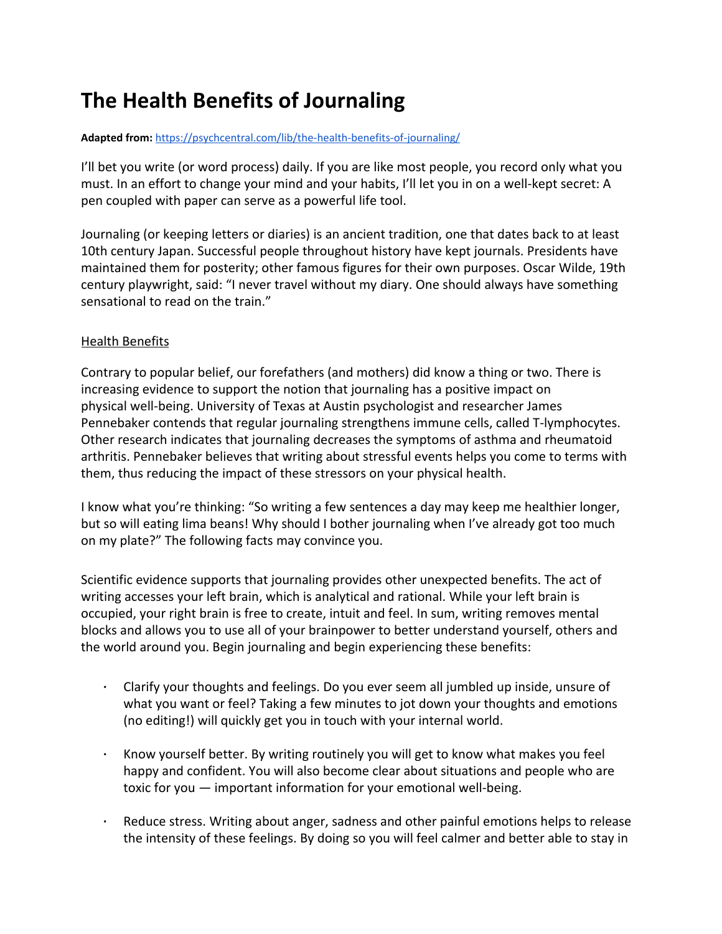## **The Health Benefits of Journaling**

## **Adapted from:** <https://psychcentral.com/lib/the-health-benefits-of-journaling/>

I'll bet you write (or word process) daily. If you are like most people, you record only what you must. In an effort to change your mind and your habits, I'll let you in on a well-kept secret: A pen coupled with paper can serve as a powerful life tool.

Journaling (or keeping letters or diaries) is an ancient tradition, one that dates back to at least 10th century Japan. Successful people throughout history have kept journals. Presidents have maintained them for posterity; other famous figures for their own purposes. Oscar Wilde, 19th century playwright, said: "I never travel without my diary. One should always have something sensational to read on the train."

## Health Benefits

Contrary to popular belief, our forefathers (and mothers) did know a thing or two. There is increasing evidence to support the notion that journaling has a positive impact on physical well-being. University of Texas at Austin psychologist and researcher James Pennebaker contends that regular journaling strengthens immune cells, called T-lymphocytes. Other research indicates that journaling decreases the symptoms of asthma and rheumatoid arthritis. Pennebaker believes that writing about stressful events helps you come to terms with them, thus reducing the impact of these stressors on your physical health.

I know what you're thinking: "So writing a few sentences a day may keep me healthier longer, but so will eating lima beans! Why should I bother journaling when I've already got too much on my plate?" The following facts may convince you.

Scientific evidence supports that journaling provides other unexpected benefits. The act of writing accesses your left brain, which is analytical and rational. While your left brain is occupied, your right brain is free to create, intuit and feel. In sum, writing removes mental blocks and allows you to use all of your brainpower to better understand yourself, others and the world around you. Begin journaling and begin experiencing these benefits:

- Clarify your thoughts and feelings. Do you ever seem all jumbled up inside, unsure of what you want or feel? Taking a few minutes to jot down your thoughts and emotions (no editing!) will quickly get you in touch with your internal world.
- Know yourself better. By writing routinely you will get to know what makes you feel happy and confident. You will also become clear about situations and people who are toxic for you — important information for your emotional well-being.
- Reduce stress. Writing about anger, sadness and other painful emotions helps to release the intensity of these feelings. By doing so you will feel calmer and better able to stay in